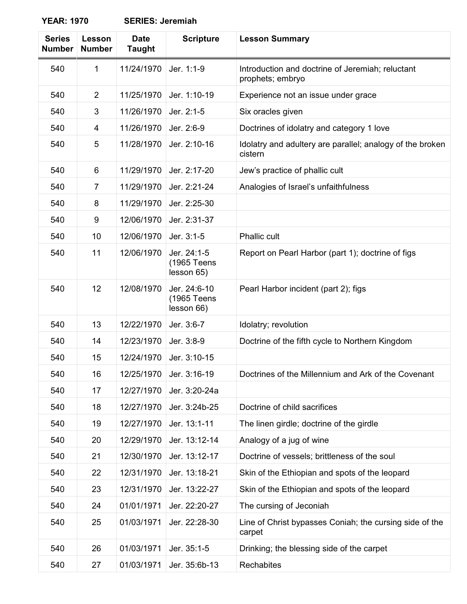| <b>Series</b><br><b>Number</b> | Lesson<br><b>Number</b> | <b>Date</b><br><b>Taught</b> | <b>Scripture</b>                          | <b>Lesson Summary</b>                                                |
|--------------------------------|-------------------------|------------------------------|-------------------------------------------|----------------------------------------------------------------------|
| 540                            | 1                       | 11/24/1970                   | Jer. 1:1-9                                | Introduction and doctrine of Jeremiah; reluctant<br>prophets; embryo |
| 540                            | 2                       | 11/25/1970                   | Jer. 1:10-19                              | Experience not an issue under grace                                  |
| 540                            | 3                       | 11/26/1970                   | Jer. 2:1-5                                | Six oracles given                                                    |
| 540                            | 4                       | 11/26/1970                   | Jer. 2:6-9                                | Doctrines of idolatry and category 1 love                            |
| 540                            | 5                       | 11/28/1970                   | Jer. 2:10-16                              | Idolatry and adultery are parallel; analogy of the broken<br>cistern |
| 540                            | 6                       | 11/29/1970                   | Jer. 2:17-20                              | Jew's practice of phallic cult                                       |
| 540                            | $\overline{7}$          | 11/29/1970                   | Jer. 2:21-24                              | Analogies of Israel's unfaithfulness                                 |
| 540                            | 8                       | 11/29/1970                   | Jer. 2:25-30                              |                                                                      |
| 540                            | 9                       | 12/06/1970                   | Jer. 2:31-37                              |                                                                      |
| 540                            | 10                      | 12/06/1970                   | Jer. 3:1-5                                | <b>Phallic cult</b>                                                  |
| 540                            | 11                      | 12/06/1970                   | Jer. 24:1-5<br>(1965 Teens<br>lesson 65)  | Report on Pearl Harbor (part 1); doctrine of figs                    |
| 540                            | 12                      | 12/08/1970                   | Jer. 24:6-10<br>(1965 Teens<br>lesson 66) | Pearl Harbor incident (part 2); figs                                 |
| 540                            | 13                      | 12/22/1970                   | Jer. 3:6-7                                | Idolatry; revolution                                                 |
| 540                            | 14                      | 12/23/1970                   | Jer. 3:8-9                                | Doctrine of the fifth cycle to Northern Kingdom                      |
| 540                            | 15                      | 12/24/1970                   | Jer. 3:10-15                              |                                                                      |
| 540                            | 16                      | 12/25/1970                   | Jer. 3:16-19                              | Doctrines of the Millennium and Ark of the Covenant                  |
| 540                            | 17                      | 12/27/1970                   | Jer. 3:20-24a                             |                                                                      |
| 540                            | 18                      | 12/27/1970                   | Jer. 3:24b-25                             | Doctrine of child sacrifices                                         |
| 540                            | 19                      | 12/27/1970                   | Jer. 13:1-11                              | The linen girdle; doctrine of the girdle                             |
| 540                            | 20                      | 12/29/1970                   | Jer. 13:12-14                             | Analogy of a jug of wine                                             |
| 540                            | 21                      | 12/30/1970                   | Jer. 13:12-17                             | Doctrine of vessels; brittleness of the soul                         |
| 540                            | 22                      | 12/31/1970                   | Jer. 13:18-21                             | Skin of the Ethiopian and spots of the leopard                       |
| 540                            | 23                      | 12/31/1970                   | Jer. 13:22-27                             | Skin of the Ethiopian and spots of the leopard                       |
| 540                            | 24                      | 01/01/1971                   | Jer. 22:20-27                             | The cursing of Jeconiah                                              |
| 540                            | 25                      | 01/03/1971                   | Jer. 22:28-30                             | Line of Christ bypasses Coniah; the cursing side of the<br>carpet    |
| 540                            | 26                      | 01/03/1971                   | Jer. 35:1-5                               | Drinking; the blessing side of the carpet                            |
| 540                            | 27                      | 01/03/1971                   | Jer. 35:6b-13                             | Rechabites                                                           |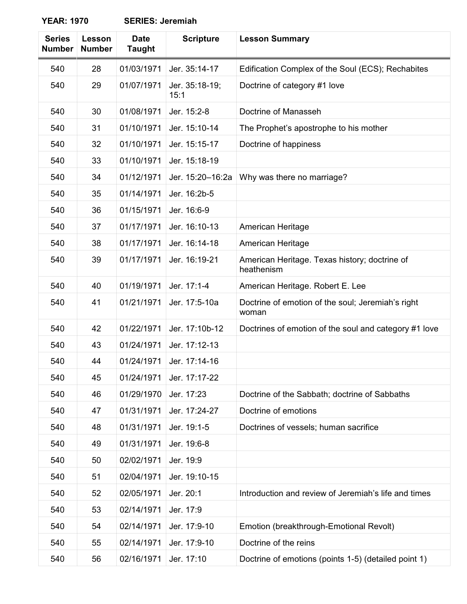| <b>Series</b><br><b>Number</b> | Lesson<br><b>Number</b> | <b>Date</b><br><b>Taught</b> | <b>Scripture</b>       | <b>Lesson Summary</b>                                       |
|--------------------------------|-------------------------|------------------------------|------------------------|-------------------------------------------------------------|
| 540                            | 28                      | 01/03/1971                   | Jer. 35:14-17          | Edification Complex of the Soul (ECS); Rechabites           |
| 540                            | 29                      | 01/07/1971                   | Jer. 35:18-19;<br>15:1 | Doctrine of category #1 love                                |
| 540                            | 30                      | 01/08/1971                   | Jer. 15:2-8            | Doctrine of Manasseh                                        |
| 540                            | 31                      | 01/10/1971                   | Jer. 15:10-14          | The Prophet's apostrophe to his mother                      |
| 540                            | 32                      | 01/10/1971                   | Jer. 15:15-17          | Doctrine of happiness                                       |
| 540                            | 33                      | 01/10/1971                   | Jer. 15:18-19          |                                                             |
| 540                            | 34                      | 01/12/1971                   | Jer. 15:20-16:2a       | Why was there no marriage?                                  |
| 540                            | 35                      | 01/14/1971                   | Jer. 16:2b-5           |                                                             |
| 540                            | 36                      | 01/15/1971                   | Jer. 16:6-9            |                                                             |
| 540                            | 37                      | 01/17/1971                   | Jer. 16:10-13          | American Heritage                                           |
| 540                            | 38                      | 01/17/1971                   | Jer. 16:14-18          | American Heritage                                           |
| 540                            | 39                      | 01/17/1971                   | Jer. 16:19-21          | American Heritage. Texas history; doctrine of<br>heathenism |
| 540                            | 40                      | 01/19/1971                   | Jer. 17:1-4            | American Heritage. Robert E. Lee                            |
| 540                            | 41                      | 01/21/1971                   | Jer. 17:5-10a          | Doctrine of emotion of the soul; Jeremiah's right<br>woman  |
| 540                            | 42                      | 01/22/1971                   | Jer. 17:10b-12         | Doctrines of emotion of the soul and category #1 love       |
| 540                            | 43                      | 01/24/1971                   | Jer. 17:12-13          |                                                             |
| 540                            | 44                      | 01/24/1971                   | Jer. 17:14-16          |                                                             |
| 540                            | 45                      | 01/24/1971                   | Jer. 17:17-22          |                                                             |
| 540                            | 46                      | 01/29/1970                   | Jer. 17:23             | Doctrine of the Sabbath; doctrine of Sabbaths               |
| 540                            | 47                      | 01/31/1971                   | Jer. 17:24-27          | Doctrine of emotions                                        |
| 540                            | 48                      | 01/31/1971                   | Jer. 19:1-5            | Doctrines of vessels; human sacrifice                       |
| 540                            | 49                      | 01/31/1971                   | Jer. 19:6-8            |                                                             |
| 540                            | 50                      | 02/02/1971                   | Jer. 19:9              |                                                             |
| 540                            | 51                      | 02/04/1971                   | Jer. 19:10-15          |                                                             |
| 540                            | 52                      | 02/05/1971                   | Jer. 20:1              | Introduction and review of Jeremiah's life and times        |
| 540                            | 53                      | 02/14/1971                   | Jer. 17:9              |                                                             |
| 540                            | 54                      | 02/14/1971                   | Jer. 17:9-10           | Emotion (breakthrough-Emotional Revolt)                     |
| 540                            | 55                      | 02/14/1971                   | Jer. 17:9-10           | Doctrine of the reins                                       |
| 540                            | 56                      | 02/16/1971                   | Jer. 17:10             | Doctrine of emotions (points 1-5) (detailed point 1)        |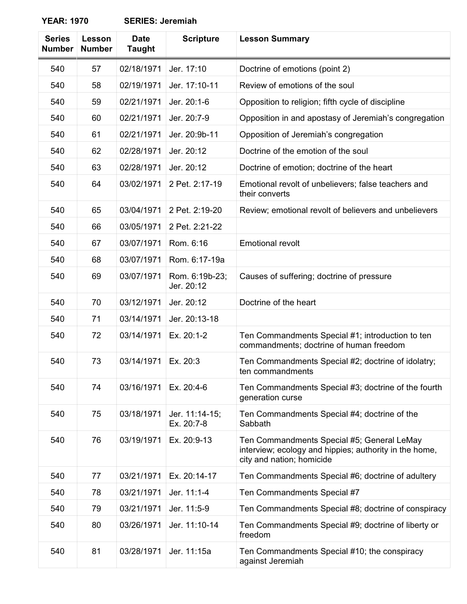| <b>Series</b><br><b>Number</b> | Lesson<br><b>Number</b> | <b>Date</b><br><b>Taught</b> | <b>Scripture</b>             | <b>Lesson Summary</b>                                                                                                             |
|--------------------------------|-------------------------|------------------------------|------------------------------|-----------------------------------------------------------------------------------------------------------------------------------|
| 540                            | 57                      | 02/18/1971                   | Jer. 17:10                   | Doctrine of emotions (point 2)                                                                                                    |
| 540                            | 58                      | 02/19/1971                   | Jer. 17:10-11                | Review of emotions of the soul                                                                                                    |
| 540                            | 59                      | 02/21/1971                   | Jer. 20:1-6                  | Opposition to religion; fifth cycle of discipline                                                                                 |
| 540                            | 60                      | 02/21/1971                   | Jer. 20:7-9                  | Opposition in and apostasy of Jeremiah's congregation                                                                             |
| 540                            | 61                      | 02/21/1971                   | Jer. 20:9b-11                | Opposition of Jeremiah's congregation                                                                                             |
| 540                            | 62                      | 02/28/1971                   | Jer. 20:12                   | Doctrine of the emotion of the soul                                                                                               |
| 540                            | 63                      | 02/28/1971                   | Jer. 20:12                   | Doctrine of emotion; doctrine of the heart                                                                                        |
| 540                            | 64                      | 03/02/1971                   | 2 Pet. 2:17-19               | Emotional revolt of unbelievers; false teachers and<br>their converts                                                             |
| 540                            | 65                      | 03/04/1971                   | 2 Pet. 2:19-20               | Review; emotional revolt of believers and unbelievers                                                                             |
| 540                            | 66                      | 03/05/1971                   | 2 Pet. 2:21-22               |                                                                                                                                   |
| 540                            | 67                      | 03/07/1971                   | Rom. 6:16                    | <b>Emotional revolt</b>                                                                                                           |
| 540                            | 68                      | 03/07/1971                   | Rom. 6:17-19a                |                                                                                                                                   |
| 540                            | 69                      | 03/07/1971                   | Rom. 6:19b-23;<br>Jer. 20:12 | Causes of suffering; doctrine of pressure                                                                                         |
| 540                            | 70                      | 03/12/1971                   | Jer. 20:12                   | Doctrine of the heart                                                                                                             |
| 540                            | 71                      | 03/14/1971                   | Jer. 20:13-18                |                                                                                                                                   |
| 540                            | 72                      | 03/14/1971                   | Ex. 20:1-2                   | Ten Commandments Special #1; introduction to ten<br>commandments; doctrine of human freedom                                       |
| 540                            | 73                      | 03/14/1971                   | Ex. 20:3                     | Ten Commandments Special #2; doctrine of idolatry;<br>ten commandments                                                            |
| 540                            | 74                      | 03/16/1971                   | Ex. 20:4-6                   | Ten Commandments Special #3; doctrine of the fourth<br>generation curse                                                           |
| 540                            | 75                      | 03/18/1971                   | Jer. 11:14-15;<br>Ex. 20:7-8 | Ten Commandments Special #4; doctrine of the<br>Sabbath                                                                           |
| 540                            | 76                      | 03/19/1971                   | Ex. 20:9-13                  | Ten Commandments Special #5; General LeMay<br>interview; ecology and hippies; authority in the home,<br>city and nation; homicide |
| 540                            | 77                      | 03/21/1971                   | Ex. 20:14-17                 | Ten Commandments Special #6; doctrine of adultery                                                                                 |
| 540                            | 78                      | 03/21/1971                   | Jer. 11:1-4                  | Ten Commandments Special #7                                                                                                       |
| 540                            | 79                      | 03/21/1971                   | Jer. 11:5-9                  | Ten Commandments Special #8; doctrine of conspiracy                                                                               |
| 540                            | 80                      | 03/26/1971                   | Jer. 11:10-14                | Ten Commandments Special #9; doctrine of liberty or<br>freedom                                                                    |
| 540                            | 81                      | 03/28/1971                   | Jer. 11:15a                  | Ten Commandments Special #10; the conspiracy<br>against Jeremiah                                                                  |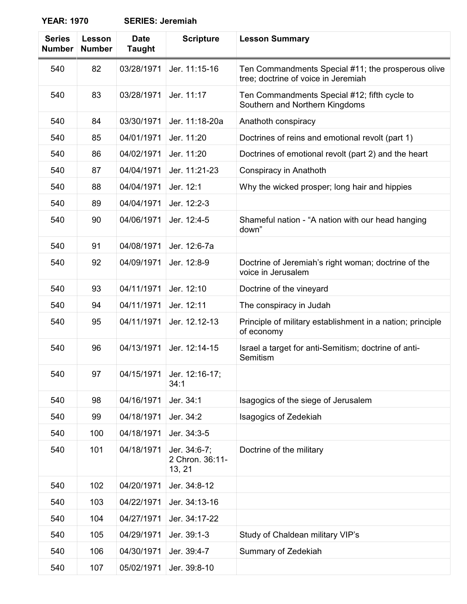| <b>Series</b><br><b>Number</b> | Lesson<br><b>Number</b> | <b>Date</b><br><b>Taught</b> | <b>Scripture</b>                          | <b>Lesson Summary</b>                                                                     |
|--------------------------------|-------------------------|------------------------------|-------------------------------------------|-------------------------------------------------------------------------------------------|
| 540                            | 82                      | 03/28/1971                   | Jer. 11:15-16                             | Ten Commandments Special #11; the prosperous olive<br>tree; doctrine of voice in Jeremiah |
| 540                            | 83                      | 03/28/1971                   | Jer. 11:17                                | Ten Commandments Special #12; fifth cycle to<br>Southern and Northern Kingdoms            |
| 540                            | 84                      | 03/30/1971                   | Jer. 11:18-20a                            | Anathoth conspiracy                                                                       |
| 540                            | 85                      | 04/01/1971                   | Jer. 11:20                                | Doctrines of reins and emotional revolt (part 1)                                          |
| 540                            | 86                      | 04/02/1971                   | Jer. 11:20                                | Doctrines of emotional revolt (part 2) and the heart                                      |
| 540                            | 87                      | 04/04/1971                   | Jer. 11:21-23                             | Conspiracy in Anathoth                                                                    |
| 540                            | 88                      | 04/04/1971                   | Jer. 12:1                                 | Why the wicked prosper; long hair and hippies                                             |
| 540                            | 89                      | 04/04/1971                   | Jer. 12:2-3                               |                                                                                           |
| 540                            | 90                      | 04/06/1971                   | Jer. 12:4-5                               | Shameful nation - "A nation with our head hanging<br>down"                                |
| 540                            | 91                      | 04/08/1971                   | Jer. 12:6-7a                              |                                                                                           |
| 540                            | 92                      | 04/09/1971                   | Jer. 12:8-9                               | Doctrine of Jeremiah's right woman; doctrine of the<br>voice in Jerusalem                 |
| 540                            | 93                      | 04/11/1971                   | Jer. 12:10                                | Doctrine of the vineyard                                                                  |
| 540                            | 94                      | 04/11/1971                   | Jer. 12:11                                | The conspiracy in Judah                                                                   |
| 540                            | 95                      | 04/11/1971                   | Jer. 12.12-13                             | Principle of military establishment in a nation; principle<br>of economy                  |
| 540                            | 96                      | 04/13/1971                   | Jer. 12:14-15                             | Israel a target for anti-Semitism; doctrine of anti-<br>Semitism                          |
| 540                            | 97                      | 04/15/1971                   | Jer. 12:16-17;<br>34:1                    |                                                                                           |
| 540                            | 98                      | 04/16/1971                   | Jer. 34:1                                 | Isagogics of the siege of Jerusalem                                                       |
| 540                            | 99                      | 04/18/1971                   | Jer. 34:2                                 | <b>Isagogics of Zedekiah</b>                                                              |
| 540                            | 100                     | 04/18/1971                   | Jer. 34:3-5                               |                                                                                           |
| 540                            | 101                     | 04/18/1971                   | Jer. 34:6-7;<br>2 Chron. 36:11-<br>13, 21 | Doctrine of the military                                                                  |
| 540                            | 102                     | 04/20/1971                   | Jer. 34:8-12                              |                                                                                           |
| 540                            | 103                     | 04/22/1971                   | Jer. 34:13-16                             |                                                                                           |
| 540                            | 104                     | 04/27/1971                   | Jer. 34:17-22                             |                                                                                           |
| 540                            | 105                     | 04/29/1971                   | Jer. 39:1-3                               | Study of Chaldean military VIP's                                                          |
| 540                            | 106                     | 04/30/1971                   | Jer. 39:4-7                               | Summary of Zedekiah                                                                       |
| 540                            | 107                     | 05/02/1971                   | Jer. 39:8-10                              |                                                                                           |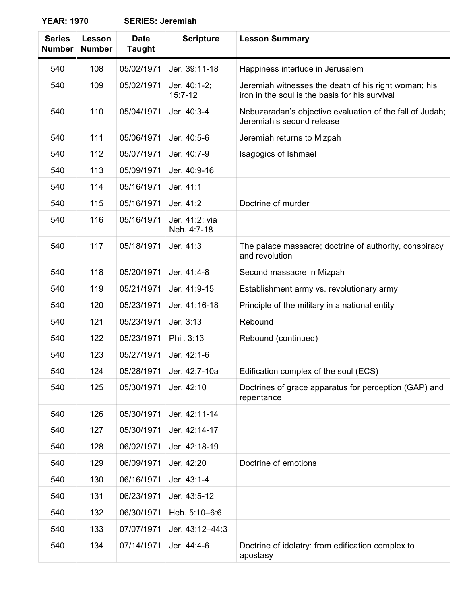| <b>Series</b><br><b>Number</b> | Lesson<br><b>Number</b> | <b>Date</b><br><b>Taught</b> | <b>Scripture</b>              | <b>Lesson Summary</b>                                                                                  |
|--------------------------------|-------------------------|------------------------------|-------------------------------|--------------------------------------------------------------------------------------------------------|
| 540                            | 108                     | 05/02/1971                   | Jer. 39:11-18                 | Happiness interlude in Jerusalem                                                                       |
| 540                            | 109                     | 05/02/1971                   | Jer. 40:1-2;<br>$15:7-12$     | Jeremiah witnesses the death of his right woman; his<br>iron in the soul is the basis for his survival |
| 540                            | 110                     | 05/04/1971                   | Jer. 40:3-4                   | Nebuzaradan's objective evaluation of the fall of Judah;<br>Jeremiah's second release                  |
| 540                            | 111                     | 05/06/1971                   | Jer. 40:5-6                   | Jeremiah returns to Mizpah                                                                             |
| 540                            | 112                     | 05/07/1971                   | Jer. 40:7-9                   | Isagogics of Ishmael                                                                                   |
| 540                            | 113                     | 05/09/1971                   | Jer. 40:9-16                  |                                                                                                        |
| 540                            | 114                     | 05/16/1971                   | Jer. 41:1                     |                                                                                                        |
| 540                            | 115                     | 05/16/1971                   | Jer. 41:2                     | Doctrine of murder                                                                                     |
| 540                            | 116                     | 05/16/1971                   | Jer. 41:2; via<br>Neh. 4:7-18 |                                                                                                        |
| 540                            | 117                     | 05/18/1971                   | Jer. 41:3                     | The palace massacre; doctrine of authority, conspiracy<br>and revolution                               |
| 540                            | 118                     | 05/20/1971                   | Jer. 41:4-8                   | Second massacre in Mizpah                                                                              |
| 540                            | 119                     | 05/21/1971                   | Jer. 41:9-15                  | Establishment army vs. revolutionary army                                                              |
| 540                            | 120                     | 05/23/1971                   | Jer. 41:16-18                 | Principle of the military in a national entity                                                         |
| 540                            | 121                     | 05/23/1971                   | Jer. 3:13                     | Rebound                                                                                                |
| 540                            | 122                     | 05/23/1971                   | Phil. 3:13                    | Rebound (continued)                                                                                    |
| 540                            | 123                     | 05/27/1971                   | Jer. 42:1-6                   |                                                                                                        |
| 540                            | 124                     | 05/28/1971                   | Jer. 42:7-10a                 | Edification complex of the soul (ECS)                                                                  |
| 540                            | 125                     | 05/30/1971                   | Jer. 42:10                    | Doctrines of grace apparatus for perception (GAP) and<br>repentance                                    |
| 540                            | 126                     | 05/30/1971                   | Jer. 42:11-14                 |                                                                                                        |
| 540                            | 127                     | 05/30/1971                   | Jer. 42:14-17                 |                                                                                                        |
| 540                            | 128                     | 06/02/1971                   | Jer. 42:18-19                 |                                                                                                        |
| 540                            | 129                     | 06/09/1971                   | Jer. 42:20                    | Doctrine of emotions                                                                                   |
| 540                            | 130                     | 06/16/1971                   | Jer. 43:1-4                   |                                                                                                        |
| 540                            | 131                     | 06/23/1971                   | Jer. 43:5-12                  |                                                                                                        |
| 540                            | 132                     | 06/30/1971                   | Heb. 5:10-6:6                 |                                                                                                        |
| 540                            | 133                     | 07/07/1971                   | Jer. 43:12-44:3               |                                                                                                        |
| 540                            | 134                     | 07/14/1971                   | Jer. 44:4-6                   | Doctrine of idolatry: from edification complex to<br>apostasy                                          |